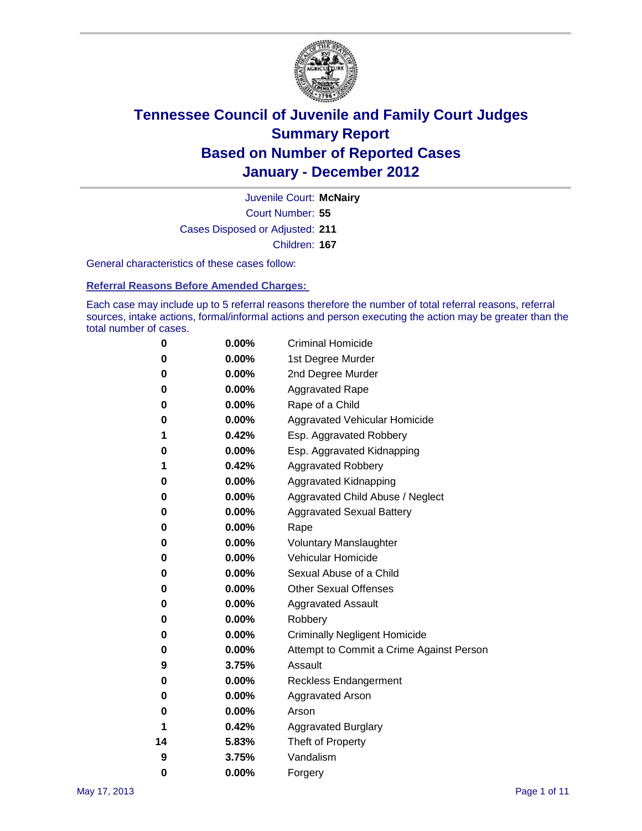

Court Number: **55** Juvenile Court: **McNairy** Cases Disposed or Adjusted: **211** Children: **167**

General characteristics of these cases follow:

**Referral Reasons Before Amended Charges:** 

Each case may include up to 5 referral reasons therefore the number of total referral reasons, referral sources, intake actions, formal/informal actions and person executing the action may be greater than the total number of cases.

| 0  | 0.00% | <b>Criminal Homicide</b>                 |
|----|-------|------------------------------------------|
| 0  | 0.00% | 1st Degree Murder                        |
| 0  | 0.00% | 2nd Degree Murder                        |
| 0  | 0.00% | <b>Aggravated Rape</b>                   |
| 0  | 0.00% | Rape of a Child                          |
| 0  | 0.00% | Aggravated Vehicular Homicide            |
| 1  | 0.42% | Esp. Aggravated Robbery                  |
| 0  | 0.00% | Esp. Aggravated Kidnapping               |
| 1  | 0.42% | <b>Aggravated Robbery</b>                |
| 0  | 0.00% | Aggravated Kidnapping                    |
| 0  | 0.00% | Aggravated Child Abuse / Neglect         |
| 0  | 0.00% | <b>Aggravated Sexual Battery</b>         |
| 0  | 0.00% | Rape                                     |
| 0  | 0.00% | <b>Voluntary Manslaughter</b>            |
| 0  | 0.00% | Vehicular Homicide                       |
| 0  | 0.00% | Sexual Abuse of a Child                  |
| 0  | 0.00% | <b>Other Sexual Offenses</b>             |
| 0  | 0.00% | <b>Aggravated Assault</b>                |
| 0  | 0.00% | Robbery                                  |
| 0  | 0.00% | <b>Criminally Negligent Homicide</b>     |
| 0  | 0.00% | Attempt to Commit a Crime Against Person |
| 9  | 3.75% | Assault                                  |
| 0  | 0.00% | <b>Reckless Endangerment</b>             |
| 0  | 0.00% | <b>Aggravated Arson</b>                  |
| 0  | 0.00% | Arson                                    |
| 1  | 0.42% | <b>Aggravated Burglary</b>               |
| 14 | 5.83% | Theft of Property                        |
| 9  | 3.75% | Vandalism                                |
| 0  | 0.00% | Forgery                                  |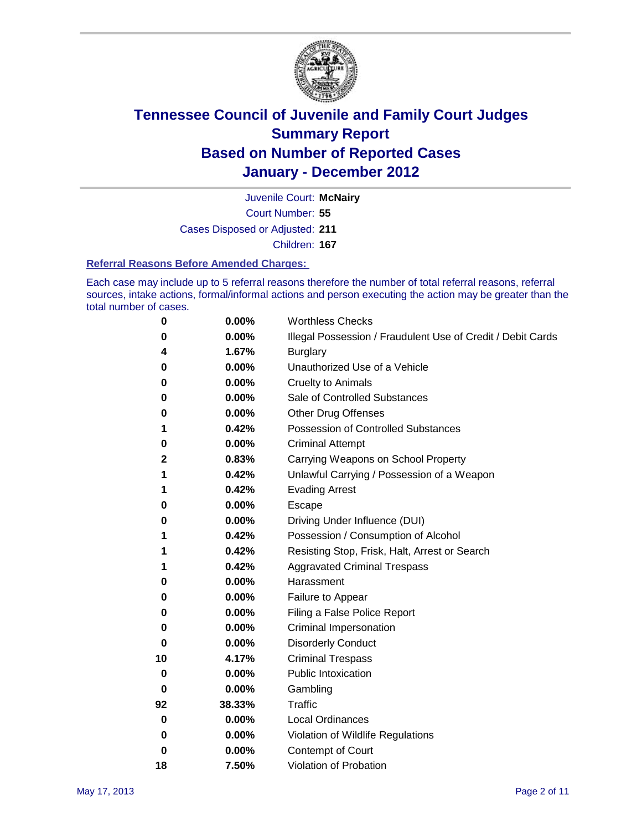

Court Number: **55** Juvenile Court: **McNairy**

Cases Disposed or Adjusted: **211**

Children: **167**

#### **Referral Reasons Before Amended Charges:**

Each case may include up to 5 referral reasons therefore the number of total referral reasons, referral sources, intake actions, formal/informal actions and person executing the action may be greater than the total number of cases.

| 0        | 0.00%  | <b>Worthless Checks</b>                                     |
|----------|--------|-------------------------------------------------------------|
| 0        | 0.00%  | Illegal Possession / Fraudulent Use of Credit / Debit Cards |
| 4        | 1.67%  | <b>Burglary</b>                                             |
| 0        | 0.00%  | Unauthorized Use of a Vehicle                               |
| 0        | 0.00%  | <b>Cruelty to Animals</b>                                   |
| 0        | 0.00%  | Sale of Controlled Substances                               |
| 0        | 0.00%  | <b>Other Drug Offenses</b>                                  |
| 1        | 0.42%  | <b>Possession of Controlled Substances</b>                  |
| 0        | 0.00%  | <b>Criminal Attempt</b>                                     |
| 2        | 0.83%  | Carrying Weapons on School Property                         |
| 1        | 0.42%  | Unlawful Carrying / Possession of a Weapon                  |
| 1        | 0.42%  | <b>Evading Arrest</b>                                       |
| 0        | 0.00%  | Escape                                                      |
| 0        | 0.00%  | Driving Under Influence (DUI)                               |
| 1        | 0.42%  | Possession / Consumption of Alcohol                         |
| 1        | 0.42%  | Resisting Stop, Frisk, Halt, Arrest or Search               |
| 1        | 0.42%  | <b>Aggravated Criminal Trespass</b>                         |
| 0        | 0.00%  | Harassment                                                  |
| 0        | 0.00%  | Failure to Appear                                           |
| 0        | 0.00%  | Filing a False Police Report                                |
| 0        | 0.00%  | Criminal Impersonation                                      |
| 0        | 0.00%  | <b>Disorderly Conduct</b>                                   |
| 10       | 4.17%  | <b>Criminal Trespass</b>                                    |
| 0        | 0.00%  | <b>Public Intoxication</b>                                  |
| 0        | 0.00%  | Gambling                                                    |
| 92       | 38.33% | <b>Traffic</b>                                              |
| 0        | 0.00%  | <b>Local Ordinances</b>                                     |
| $\bf{0}$ | 0.00%  | Violation of Wildlife Regulations                           |
| 0        | 0.00%  | Contempt of Court                                           |
| 18       | 7.50%  | Violation of Probation                                      |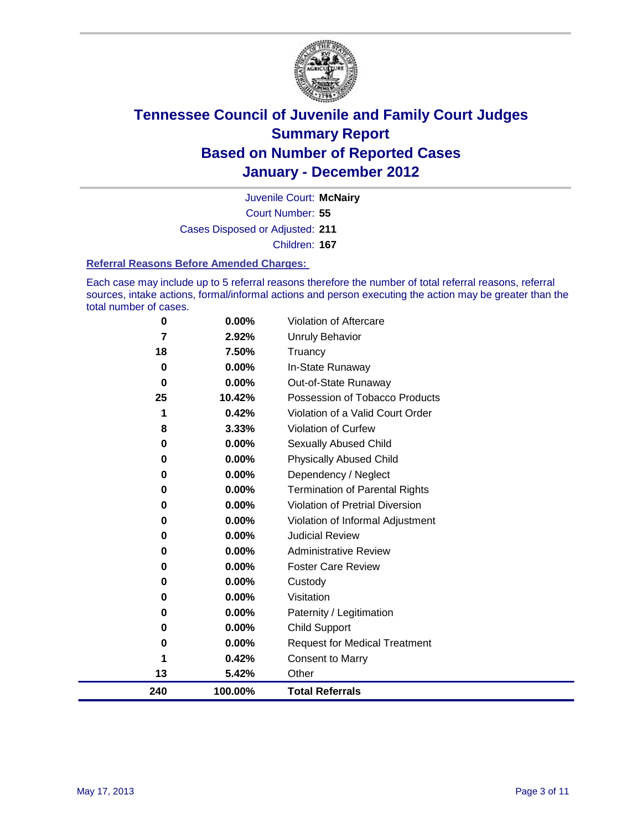

Court Number: **55** Juvenile Court: **McNairy** Cases Disposed or Adjusted: **211** Children: **167**

#### **Referral Reasons Before Amended Charges:**

Each case may include up to 5 referral reasons therefore the number of total referral reasons, referral sources, intake actions, formal/informal actions and person executing the action may be greater than the total number of cases.

| 0        | 0.00%    | Violation of Aftercare                 |
|----------|----------|----------------------------------------|
| 7        | 2.92%    | <b>Unruly Behavior</b>                 |
| 18       | 7.50%    | Truancy                                |
| $\bf{0}$ | 0.00%    | In-State Runaway                       |
| $\bf{0}$ | 0.00%    | Out-of-State Runaway                   |
| 25       | 10.42%   | Possession of Tobacco Products         |
|          | 0.42%    | Violation of a Valid Court Order       |
| 8        | 3.33%    | Violation of Curfew                    |
| 0        | $0.00\%$ | <b>Sexually Abused Child</b>           |
| 0        | 0.00%    | <b>Physically Abused Child</b>         |
| 0        | 0.00%    | Dependency / Neglect                   |
| $\bf{0}$ | 0.00%    | Termination of Parental Rights         |
| 0        | 0.00%    | <b>Violation of Pretrial Diversion</b> |
| 0        | 0.00%    | Violation of Informal Adjustment       |
| 0        | $0.00\%$ | <b>Judicial Review</b>                 |
| 0        | 0.00%    | <b>Administrative Review</b>           |
| 0        | 0.00%    | <b>Foster Care Review</b>              |
| 0        | 0.00%    | Custody                                |
| 0        | 0.00%    | Visitation                             |
| 0        | 0.00%    | Paternity / Legitimation               |
| 0        | 0.00%    | <b>Child Support</b>                   |
| 0        | $0.00\%$ | <b>Request for Medical Treatment</b>   |
| 1        | 0.42%    | <b>Consent to Marry</b>                |
| 13       | 5.42%    | Other                                  |
| 240      | 100.00%  | <b>Total Referrals</b>                 |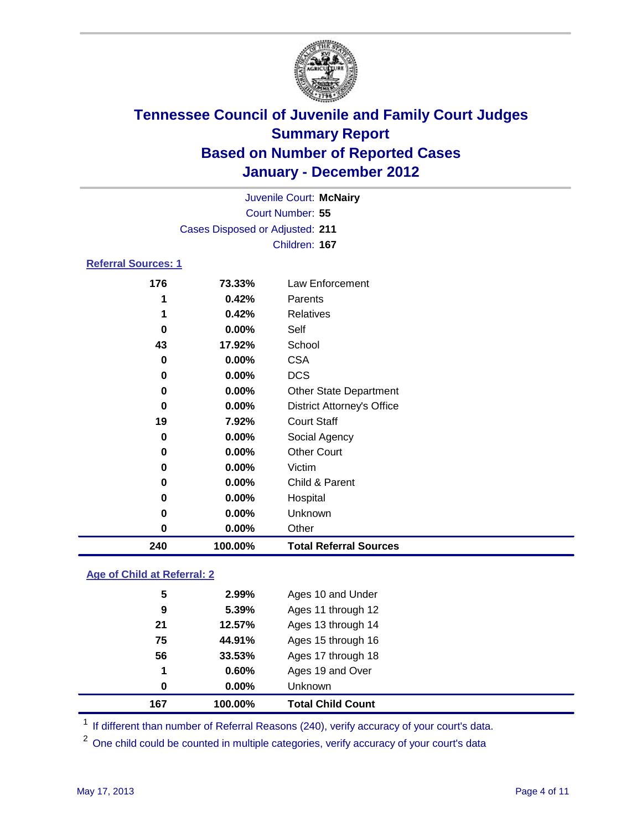

|                                 |          | Juvenile Court: McNairy           |  |  |  |
|---------------------------------|----------|-----------------------------------|--|--|--|
| Court Number: 55                |          |                                   |  |  |  |
| Cases Disposed or Adjusted: 211 |          |                                   |  |  |  |
| Children: 167                   |          |                                   |  |  |  |
| <b>Referral Sources: 1</b>      |          |                                   |  |  |  |
| 176                             | 73.33%   | Law Enforcement                   |  |  |  |
| 1                               | 0.42%    | Parents                           |  |  |  |
| 1                               | 0.42%    | Relatives                         |  |  |  |
| 0                               | $0.00\%$ | Self                              |  |  |  |
| 43                              | 17.92%   | School                            |  |  |  |
| 0                               | 0.00%    | <b>CSA</b>                        |  |  |  |
| 0                               | 0.00%    | <b>DCS</b>                        |  |  |  |
| 0                               | 0.00%    | <b>Other State Department</b>     |  |  |  |
| 0                               | 0.00%    | <b>District Attorney's Office</b> |  |  |  |
| 19                              | 7.92%    | <b>Court Staff</b>                |  |  |  |
| 0                               | 0.00%    | Social Agency                     |  |  |  |
| 0                               | 0.00%    | <b>Other Court</b>                |  |  |  |
| 0                               | 0.00%    | Victim                            |  |  |  |
| 0                               | 0.00%    | Child & Parent                    |  |  |  |
| 0                               | 0.00%    | Hospital                          |  |  |  |
| 0                               | $0.00\%$ | Unknown                           |  |  |  |

### **Age of Child at Referral: 2**

| 167 | 100.00%  | <b>Total Child Count</b> |
|-----|----------|--------------------------|
| 0   | $0.00\%$ | Unknown                  |
| 1   | 0.60%    | Ages 19 and Over         |
| 56  | 33.53%   | Ages 17 through 18       |
| 75  | 44.91%   | Ages 15 through 16       |
| 21  | 12.57%   | Ages 13 through 14       |
| 9   | 5.39%    | Ages 11 through 12       |
| 5   | 2.99%    | Ages 10 and Under        |
|     |          |                          |

<sup>1</sup> If different than number of Referral Reasons (240), verify accuracy of your court's data.

**0.00%** Other

**100.00% Total Referral Sources**

<sup>2</sup> One child could be counted in multiple categories, verify accuracy of your court's data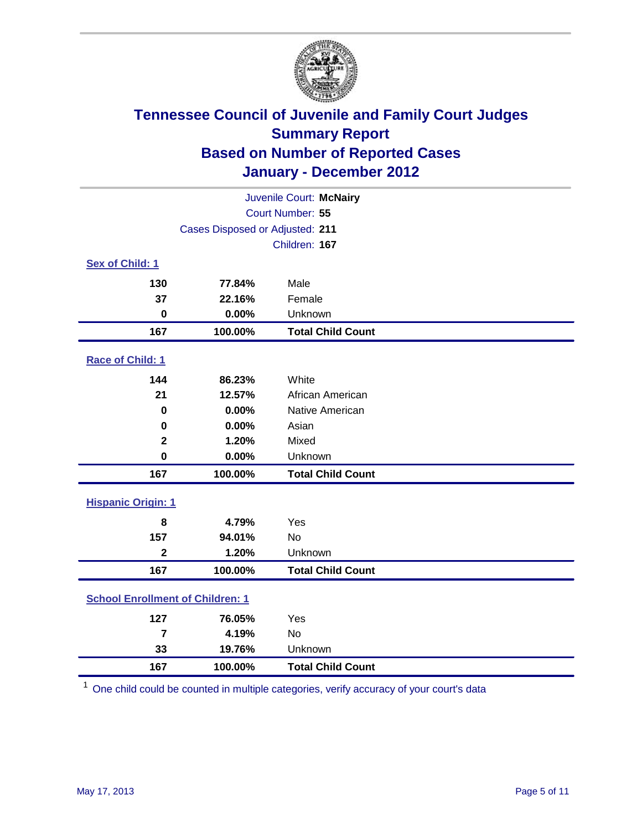

| Juvenile Court: McNairy                 |         |                          |  |  |  |
|-----------------------------------------|---------|--------------------------|--|--|--|
| Court Number: 55                        |         |                          |  |  |  |
| Cases Disposed or Adjusted: 211         |         |                          |  |  |  |
|                                         |         | Children: 167            |  |  |  |
| Sex of Child: 1                         |         |                          |  |  |  |
| 130                                     | 77.84%  | Male                     |  |  |  |
| 37                                      | 22.16%  | Female                   |  |  |  |
| $\mathbf 0$                             | 0.00%   | Unknown                  |  |  |  |
| 167                                     | 100.00% | <b>Total Child Count</b> |  |  |  |
| Race of Child: 1                        |         |                          |  |  |  |
| 144                                     | 86.23%  | White                    |  |  |  |
| 21                                      | 12.57%  | African American         |  |  |  |
| $\mathbf 0$                             | 0.00%   | Native American          |  |  |  |
| $\mathbf 0$                             | 0.00%   | Asian                    |  |  |  |
| $\mathbf 2$                             | 1.20%   | Mixed                    |  |  |  |
| $\mathbf 0$                             | 0.00%   | Unknown                  |  |  |  |
| 167                                     | 100.00% | <b>Total Child Count</b> |  |  |  |
| <b>Hispanic Origin: 1</b>               |         |                          |  |  |  |
| 8                                       | 4.79%   | Yes                      |  |  |  |
| 157                                     | 94.01%  | No                       |  |  |  |
| $\overline{\mathbf{2}}$                 | 1.20%   | Unknown                  |  |  |  |
| 167                                     | 100.00% | <b>Total Child Count</b> |  |  |  |
| <b>School Enrollment of Children: 1</b> |         |                          |  |  |  |
| 127                                     | 76.05%  | Yes                      |  |  |  |
| $\overline{7}$                          | 4.19%   | No                       |  |  |  |
| 33                                      | 19.76%  | Unknown                  |  |  |  |
| 167                                     | 100.00% | <b>Total Child Count</b> |  |  |  |

One child could be counted in multiple categories, verify accuracy of your court's data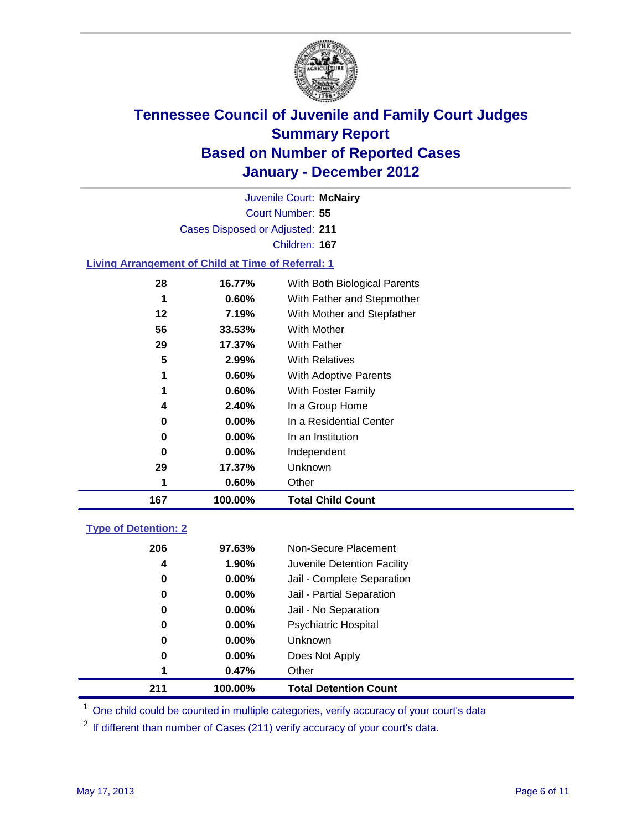

Court Number: **55** Juvenile Court: **McNairy** Cases Disposed or Adjusted: **211** Children: **167**

#### **Living Arrangement of Child at Time of Referral: 1**

| 167 | 100.00%  | <b>Total Child Count</b>     |
|-----|----------|------------------------------|
| 1   | 0.60%    | Other                        |
| 29  | 17.37%   | Unknown                      |
| 0   | $0.00\%$ | Independent                  |
| 0   | $0.00\%$ | In an Institution            |
| 0   | $0.00\%$ | In a Residential Center      |
| 4   | 2.40%    | In a Group Home              |
| 1   | 0.60%    | With Foster Family           |
| 1   | 0.60%    | With Adoptive Parents        |
| 5   | 2.99%    | <b>With Relatives</b>        |
| 29  | 17.37%   | <b>With Father</b>           |
| 56  | 33.53%   | <b>With Mother</b>           |
| 12  | 7.19%    | With Mother and Stepfather   |
| 1   | $0.60\%$ | With Father and Stepmother   |
| 28  | 16.77%   | With Both Biological Parents |
|     |          |                              |

### **Type of Detention: 2**

| 211 | 100.00%  | <b>Total Detention Count</b> |
|-----|----------|------------------------------|
| 1   | 0.47%    | Other                        |
| 0   | 0.00%    | Does Not Apply               |
| 0   | $0.00\%$ | <b>Unknown</b>               |
| 0   | $0.00\%$ | Psychiatric Hospital         |
| 0   | 0.00%    | Jail - No Separation         |
| 0   | $0.00\%$ | Jail - Partial Separation    |
| 0   | $0.00\%$ | Jail - Complete Separation   |
| 4   | 1.90%    | Juvenile Detention Facility  |
| 206 | 97.63%   | Non-Secure Placement         |
|     |          |                              |

<sup>1</sup> One child could be counted in multiple categories, verify accuracy of your court's data

<sup>2</sup> If different than number of Cases (211) verify accuracy of your court's data.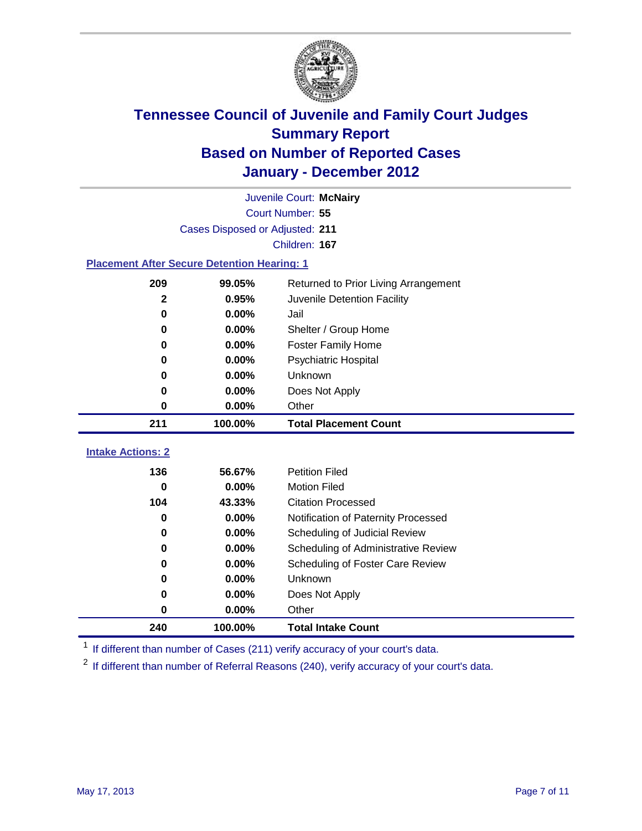

|                                 | Juvenile Court: McNairy                            |                                      |  |  |  |
|---------------------------------|----------------------------------------------------|--------------------------------------|--|--|--|
|                                 | Court Number: 55                                   |                                      |  |  |  |
|                                 | Cases Disposed or Adjusted: 211                    |                                      |  |  |  |
|                                 | Children: 167                                      |                                      |  |  |  |
|                                 | <b>Placement After Secure Detention Hearing: 1</b> |                                      |  |  |  |
| 209                             | 99.05%                                             | Returned to Prior Living Arrangement |  |  |  |
| $\mathbf{2}$                    | 0.95%                                              | Juvenile Detention Facility          |  |  |  |
| $\bf{0}$                        | 0.00%                                              | Jail                                 |  |  |  |
| 0                               | 0.00%                                              | Shelter / Group Home                 |  |  |  |
| 0                               | 0.00%                                              | <b>Foster Family Home</b>            |  |  |  |
| $\bf{0}$                        | 0.00%                                              | Psychiatric Hospital                 |  |  |  |
| 0                               | 0.00%                                              | Unknown                              |  |  |  |
| 0                               | 0.00%                                              | Does Not Apply                       |  |  |  |
| 0                               | 0.00%                                              | Other                                |  |  |  |
|                                 |                                                    |                                      |  |  |  |
| 211                             | 100.00%                                            | <b>Total Placement Count</b>         |  |  |  |
|                                 |                                                    |                                      |  |  |  |
| <b>Intake Actions: 2</b><br>136 | 56.67%                                             | <b>Petition Filed</b>                |  |  |  |
| 0                               | 0.00%                                              | <b>Motion Filed</b>                  |  |  |  |
| 104                             | 43.33%                                             | <b>Citation Processed</b>            |  |  |  |
| 0                               | 0.00%                                              | Notification of Paternity Processed  |  |  |  |
| $\mathbf 0$                     | 0.00%                                              | Scheduling of Judicial Review        |  |  |  |
| 0                               | 0.00%                                              | Scheduling of Administrative Review  |  |  |  |
| 0                               | 0.00%                                              | Scheduling of Foster Care Review     |  |  |  |
| 0                               | 0.00%                                              | Unknown                              |  |  |  |
| 0                               | 0.00%                                              | Does Not Apply                       |  |  |  |
| $\pmb{0}$                       | 0.00%                                              | Other                                |  |  |  |

<sup>1</sup> If different than number of Cases (211) verify accuracy of your court's data.

<sup>2</sup> If different than number of Referral Reasons (240), verify accuracy of your court's data.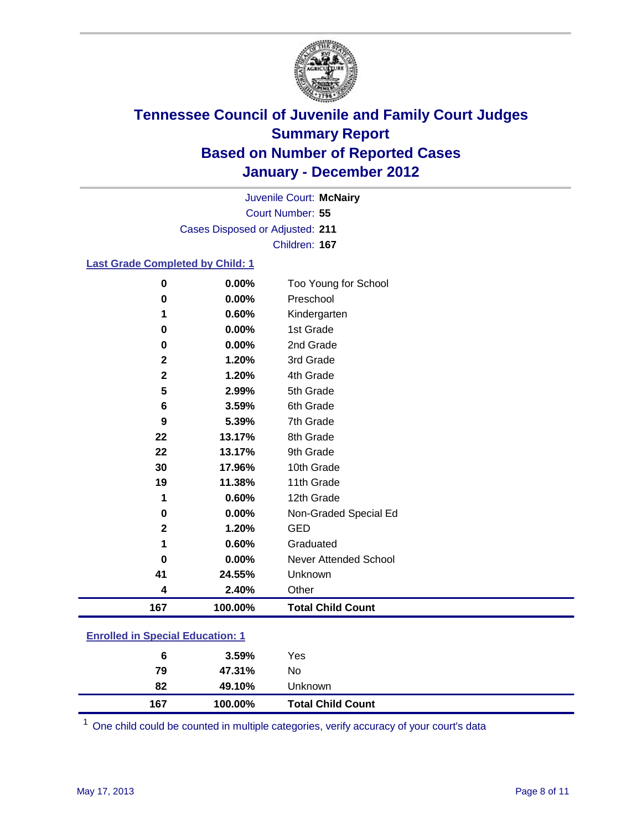

Court Number: **55** Juvenile Court: **McNairy** Cases Disposed or Adjusted: **211** Children: **167**

#### **Last Grade Completed by Child: 1**

| 0                                       | 0.00%   | Too Young for School         |  |
|-----------------------------------------|---------|------------------------------|--|
| 0                                       | 0.00%   | Preschool                    |  |
| 1                                       | 0.60%   | Kindergarten                 |  |
| 0                                       | 0.00%   | 1st Grade                    |  |
| 0                                       | 0.00%   | 2nd Grade                    |  |
| $\mathbf{2}$                            | 1.20%   | 3rd Grade                    |  |
| $\mathbf{2}$                            | 1.20%   | 4th Grade                    |  |
| 5                                       | 2.99%   | 5th Grade                    |  |
| 6                                       | 3.59%   | 6th Grade                    |  |
| 9                                       | 5.39%   | 7th Grade                    |  |
| 22                                      | 13.17%  | 8th Grade                    |  |
| 22                                      | 13.17%  | 9th Grade                    |  |
| 30                                      | 17.96%  | 10th Grade                   |  |
| 19                                      | 11.38%  | 11th Grade                   |  |
| 1                                       | 0.60%   | 12th Grade                   |  |
| 0                                       | 0.00%   | Non-Graded Special Ed        |  |
| $\mathbf 2$                             | 1.20%   | <b>GED</b>                   |  |
| 1                                       | 0.60%   | Graduated                    |  |
| 0                                       | 0.00%   | <b>Never Attended School</b> |  |
| 41                                      | 24.55%  | Unknown                      |  |
| 4                                       | 2.40%   | Other                        |  |
| 167                                     | 100.00% | <b>Total Child Count</b>     |  |
| <b>Enrolled in Special Education: 1</b> |         |                              |  |

| 167                                | 100.00% | <b>Total Child Count</b> |  |  |
|------------------------------------|---------|--------------------------|--|--|
| 82                                 | 49.10%  | Unknown                  |  |  |
| 79                                 | 47.31%  | No                       |  |  |
| 6                                  | 3.59%   | Yes                      |  |  |
| __________________________________ |         |                          |  |  |

One child could be counted in multiple categories, verify accuracy of your court's data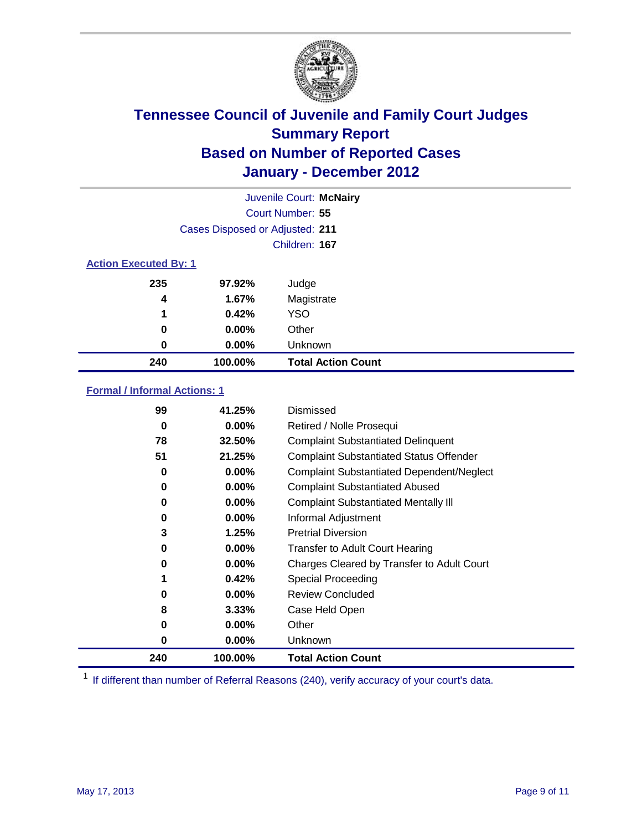

|                              | Juvenile Court: McNairy         |                           |  |  |  |
|------------------------------|---------------------------------|---------------------------|--|--|--|
|                              | <b>Court Number: 55</b>         |                           |  |  |  |
|                              | Cases Disposed or Adjusted: 211 |                           |  |  |  |
|                              | Children: 167                   |                           |  |  |  |
| <b>Action Executed By: 1</b> |                                 |                           |  |  |  |
| 235                          | 97.92%                          | Judge                     |  |  |  |
| 4                            | 1.67%                           | Magistrate                |  |  |  |
| 1                            | 0.42%                           | <b>YSO</b>                |  |  |  |
| 0                            | 0.00%                           | Other                     |  |  |  |
| 0                            | 0.00%                           | Unknown                   |  |  |  |
| 240                          | 100.00%                         | <b>Total Action Count</b> |  |  |  |

### **Formal / Informal Actions: 1**

| 99  | 41.25%   | Dismissed                                        |
|-----|----------|--------------------------------------------------|
| 0   | $0.00\%$ | Retired / Nolle Prosequi                         |
| 78  | 32.50%   | <b>Complaint Substantiated Delinquent</b>        |
| 51  | 21.25%   | <b>Complaint Substantiated Status Offender</b>   |
| 0   | 0.00%    | <b>Complaint Substantiated Dependent/Neglect</b> |
| 0   | $0.00\%$ | <b>Complaint Substantiated Abused</b>            |
| 0   | $0.00\%$ | <b>Complaint Substantiated Mentally III</b>      |
| 0   | $0.00\%$ | Informal Adjustment                              |
| 3   | 1.25%    | <b>Pretrial Diversion</b>                        |
| 0   | $0.00\%$ | <b>Transfer to Adult Court Hearing</b>           |
| 0   | 0.00%    | Charges Cleared by Transfer to Adult Court       |
|     | 0.42%    | Special Proceeding                               |
| 0   | $0.00\%$ | <b>Review Concluded</b>                          |
| 8   | 3.33%    | Case Held Open                                   |
| 0   | $0.00\%$ | Other                                            |
| 0   | $0.00\%$ | Unknown                                          |
| 240 | 100.00%  | <b>Total Action Count</b>                        |

<sup>1</sup> If different than number of Referral Reasons (240), verify accuracy of your court's data.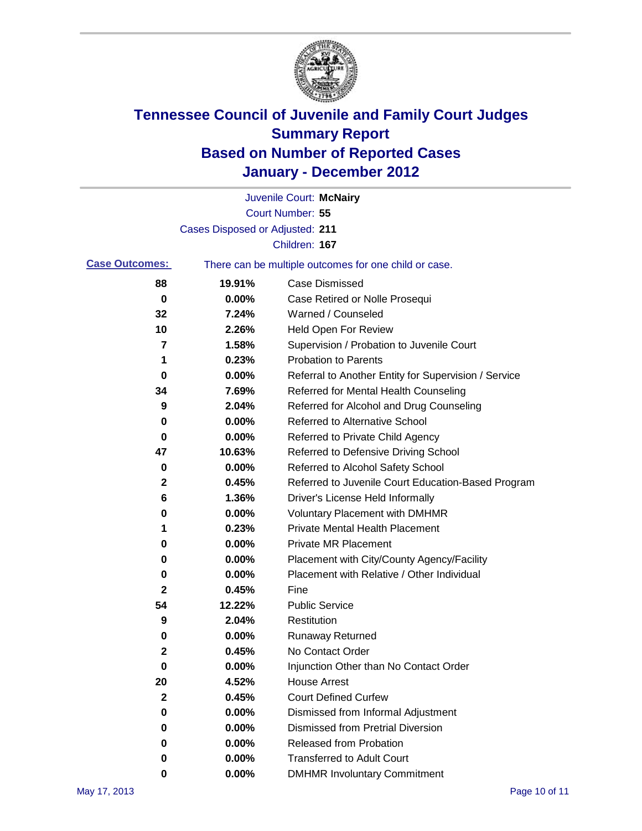

|                       |                                 | Juvenile Court: McNairy                               |
|-----------------------|---------------------------------|-------------------------------------------------------|
|                       |                                 | Court Number: 55                                      |
|                       | Cases Disposed or Adjusted: 211 |                                                       |
|                       |                                 | Children: 167                                         |
| <b>Case Outcomes:</b> |                                 | There can be multiple outcomes for one child or case. |
| 88                    | 19.91%                          | <b>Case Dismissed</b>                                 |
| 0                     | 0.00%                           | Case Retired or Nolle Prosequi                        |
| 32                    | 7.24%                           | Warned / Counseled                                    |
| 10                    | 2.26%                           | <b>Held Open For Review</b>                           |
| 7                     | 1.58%                           | Supervision / Probation to Juvenile Court             |
| 1                     | 0.23%                           | <b>Probation to Parents</b>                           |
| 0                     | 0.00%                           | Referral to Another Entity for Supervision / Service  |
| 34                    | 7.69%                           | Referred for Mental Health Counseling                 |
| 9                     | 2.04%                           | Referred for Alcohol and Drug Counseling              |
| 0                     | 0.00%                           | Referred to Alternative School                        |
| 0                     | 0.00%                           | Referred to Private Child Agency                      |
| 47                    | 10.63%                          | Referred to Defensive Driving School                  |
| 0                     | 0.00%                           | Referred to Alcohol Safety School                     |
| $\mathbf{2}$          | 0.45%                           | Referred to Juvenile Court Education-Based Program    |
| 6                     | 1.36%                           | Driver's License Held Informally                      |
| 0                     | 0.00%                           | <b>Voluntary Placement with DMHMR</b>                 |
| 1                     | 0.23%                           | <b>Private Mental Health Placement</b>                |
| 0                     | 0.00%                           | <b>Private MR Placement</b>                           |
| 0                     | 0.00%                           | Placement with City/County Agency/Facility            |
| 0                     | 0.00%                           | Placement with Relative / Other Individual            |
| $\mathbf{2}$          | 0.45%                           | Fine                                                  |
| 54                    | 12.22%                          | <b>Public Service</b>                                 |
| 9                     | 2.04%                           | Restitution                                           |
| 0                     | 0.00%                           | Runaway Returned                                      |
| 2                     | 0.45%                           | No Contact Order                                      |
| 0                     | 0.00%                           | Injunction Other than No Contact Order                |
| 20                    | 4.52%                           | <b>House Arrest</b>                                   |
| $\mathbf{2}$          | 0.45%                           | <b>Court Defined Curfew</b>                           |
| 0                     | 0.00%                           | Dismissed from Informal Adjustment                    |
| 0                     | 0.00%                           | <b>Dismissed from Pretrial Diversion</b>              |
| 0                     | 0.00%                           | Released from Probation                               |
| 0                     | 0.00%                           | <b>Transferred to Adult Court</b>                     |
| 0                     | 0.00%                           | <b>DMHMR Involuntary Commitment</b>                   |